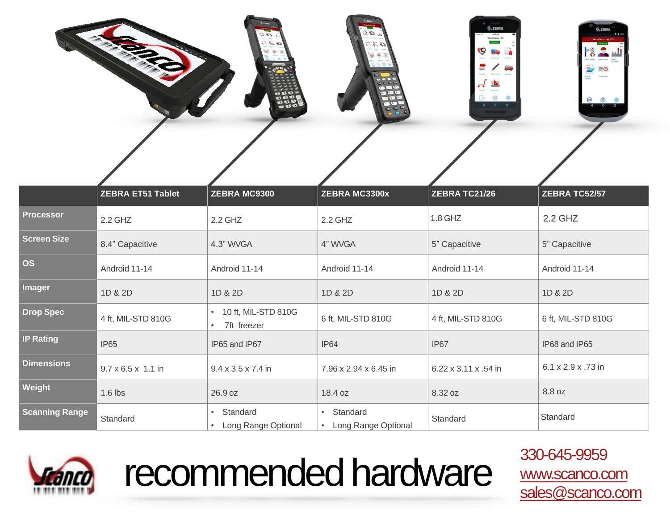| $L$ as $D$<br><b>All Change and</b><br>二三部<br>$\frac{1}{2}$ and $\frac{1}{2}$ and $\frac{1}{2}$<br>O O O<br>- Milkow - Chrysler<br>BGGC<br>$\bullet$ | <b>William</b><br>Wiesbouwing<br>$G = 50 L$<br>New Steamer<br>二星国<br>$\sqrt{2}$<br>$\sqrt{a^2}$<br>$\langle \bullet \rangle$<br><b>Finchen</b> - Insure<br>$\bullet \circ \neg$<br>OBE<br>000<br>POO<br>$\cdot$ 0 $\approx$<br>CEC | <b>S.ZEBRA</b><br>$m +$<br>8/00 AM<br>Warehouse 100<br><b>CONTRACTOR</b><br>g<br><b>Brandale</b><br><b>POINTY</b><br><b>Becaretage</b><br>نت<br>Transfers<br>Max Court Missing<br>Advanced<br>Faking<br>發<br>$\begin{array}{ccccc}\n0 & 0 & 0 \\ \end{array}$<br><b>STATISTICS</b> | <b>Q.ZEBRA</b><br><b>TE1000</b><br>Manufacturing 100<br>О<br>Parts Usage Labor Entry Make<br>$\bar{\mathbf{v}}$<br>$= 0$<br>Time Card<br>Status<br>Update<br>e<br>${553}$<br>®<br>$\overline{\phantom{0}}$<br>$\blacktriangleleft$ |
|------------------------------------------------------------------------------------------------------------------------------------------------------|------------------------------------------------------------------------------------------------------------------------------------------------------------------------------------------------------------------------------------|------------------------------------------------------------------------------------------------------------------------------------------------------------------------------------------------------------------------------------------------------------------------------------|------------------------------------------------------------------------------------------------------------------------------------------------------------------------------------------------------------------------------------|
|                                                                                                                                                      |                                                                                                                                                                                                                                    |                                                                                                                                                                                                                                                                                    |                                                                                                                                                                                                                                    |

|                       | <b>ZEBRA ET51 Tablet</b>       | <b>ZEBRA MC9300</b>                | <b>ZEBRA MC3300x</b>              | <b>ZEBRA TC21/26</b> | ZEBRA TC52/57      |
|-----------------------|--------------------------------|------------------------------------|-----------------------------------|----------------------|--------------------|
| <b>Processor</b>      | $2.2$ GHZ                      | $2.2$ GHZ                          | 2.2 GHZ                           | 1.8 GHZ              | 2.2 GHZ            |
| <b>Screen Size</b>    | 8.4" Capacitive                | 4.3" WVGA                          | 4" WVGA                           | 5" Capacitive        | 5" Capacitive      |
| <b>OS</b>             | Android 11-14                  | Android 11-14                      | Android 11-14                     | Android 11-14        | Android 11-14      |
| <b>Imager</b>         | 1D & 2D                        | 1D & 2D                            | 1D & 2D                           | 1D & 2D              | 1D & 2D            |
| <b>Drop Spec</b>      | 4 ft, MIL-STD 810G             | 10 ft, MIL-STD 810G<br>7ft freezer | 6 ft, MIL-STD 810G                | 4 ft, MIL-STD 810G   | 6 ft, MIL-STD 810G |
| <b>IP Rating</b>      | <b>IP65</b>                    | IP65 and IP67                      | IP <sub>64</sub>                  | IP67                 | IP68 and IP65      |
| <b>Dimensions</b>     | $9.7 \times 6.5 \times 1.1$ in | $9.4 \times 3.5 \times 7.4$ in     | 7.96 x 2.94 x 6.45 in             | 6.22 x 3.11 x .54 in | 6.1 x 2.9 x .73 in |
| Weight                | $1.6$ lbs                      | 26.9 oz                            | 18.4 oz                           | 8.32 oz              | 8.8 oz             |
| <b>Scanning Range</b> | Standard                       | Standard<br>Long Range Optional    | • Standard<br>Long Range Optional | Standard             | Standard           |



## recommended hardware 330-645-9959

[www.scanco.com](http://www.scanco.com/)  [sales@scanco.com](mailto:sales@scanco.com)